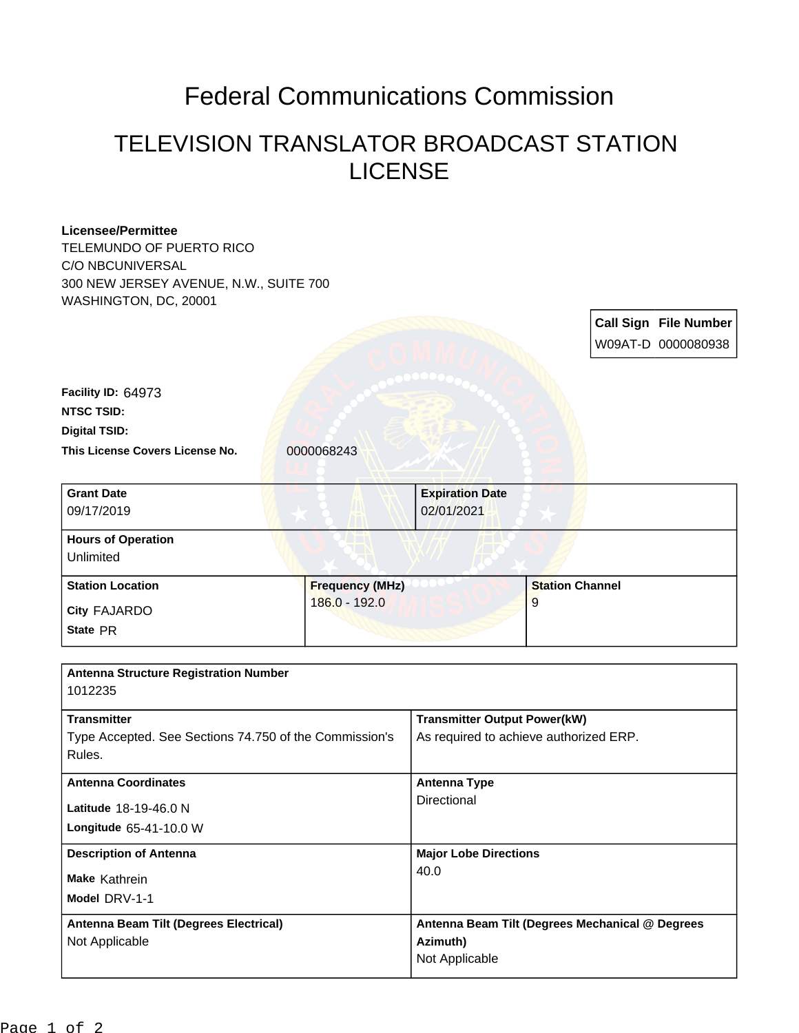## Federal Communications Commission

## TELEVISION TRANSLATOR BROADCAST STATION LICENSE

| <b>Licensee/Permittee</b>                              |                        |                                                 |                        |  |                              |
|--------------------------------------------------------|------------------------|-------------------------------------------------|------------------------|--|------------------------------|
| TELEMUNDO OF PUERTO RICO                               |                        |                                                 |                        |  |                              |
| C/O NBCUNIVERSAL                                       |                        |                                                 |                        |  |                              |
| 300 NEW JERSEY AVENUE, N.W., SUITE 700                 |                        |                                                 |                        |  |                              |
| WASHINGTON, DC, 20001                                  |                        |                                                 |                        |  |                              |
|                                                        |                        |                                                 |                        |  | <b>Call Sign File Number</b> |
|                                                        |                        |                                                 |                        |  | W09AT-D 0000080938           |
|                                                        |                        |                                                 |                        |  |                              |
| Facility ID: 64973                                     |                        |                                                 |                        |  |                              |
| <b>NTSC TSID:</b>                                      |                        |                                                 |                        |  |                              |
| <b>Digital TSID:</b>                                   |                        |                                                 |                        |  |                              |
| This License Covers License No.                        | 0000068243             |                                                 |                        |  |                              |
|                                                        |                        |                                                 |                        |  |                              |
| <b>Grant Date</b>                                      |                        | <b>Expiration Date</b>                          |                        |  |                              |
| 09/17/2019                                             |                        | 02/01/2021                                      |                        |  |                              |
|                                                        |                        |                                                 |                        |  |                              |
| <b>Hours of Operation</b>                              |                        |                                                 |                        |  |                              |
| Unlimited                                              |                        |                                                 |                        |  |                              |
| <b>Station Location</b>                                | <b>Frequency (MHz)</b> |                                                 | <b>Station Channel</b> |  |                              |
| City FAJARDO                                           | 186.0 - 192.0          |                                                 | 9                      |  |                              |
| State PR                                               |                        |                                                 |                        |  |                              |
|                                                        |                        |                                                 |                        |  |                              |
| <b>Antenna Structure Registration Number</b>           |                        |                                                 |                        |  |                              |
| 1012235                                                |                        |                                                 |                        |  |                              |
|                                                        |                        |                                                 |                        |  |                              |
| <b>Transmitter</b>                                     |                        | <b>Transmitter Output Power(kW)</b>             |                        |  |                              |
| Type Accepted. See Sections 74.750 of the Commission's |                        | As required to achieve authorized ERP.          |                        |  |                              |
| Rules.                                                 |                        |                                                 |                        |  |                              |
| <b>Antenna Coordinates</b>                             |                        | <b>Antenna Type</b>                             |                        |  |                              |
| Latitude 18-19-46.0 N                                  |                        | Directional                                     |                        |  |                              |
| Longitude 65-41-10.0 W                                 |                        |                                                 |                        |  |                              |
|                                                        |                        |                                                 |                        |  |                              |
| <b>Description of Antenna</b>                          |                        | <b>Major Lobe Directions</b><br>40.0            |                        |  |                              |
| Make Kathrein                                          |                        |                                                 |                        |  |                              |
| Model DRV-1-1                                          |                        |                                                 |                        |  |                              |
| Antenna Beam Tilt (Degrees Electrical)                 |                        | Antenna Beam Tilt (Degrees Mechanical @ Degrees |                        |  |                              |
| Not Applicable                                         |                        | Azimuth)                                        |                        |  |                              |
|                                                        |                        | Not Applicable                                  |                        |  |                              |
|                                                        |                        |                                                 |                        |  |                              |